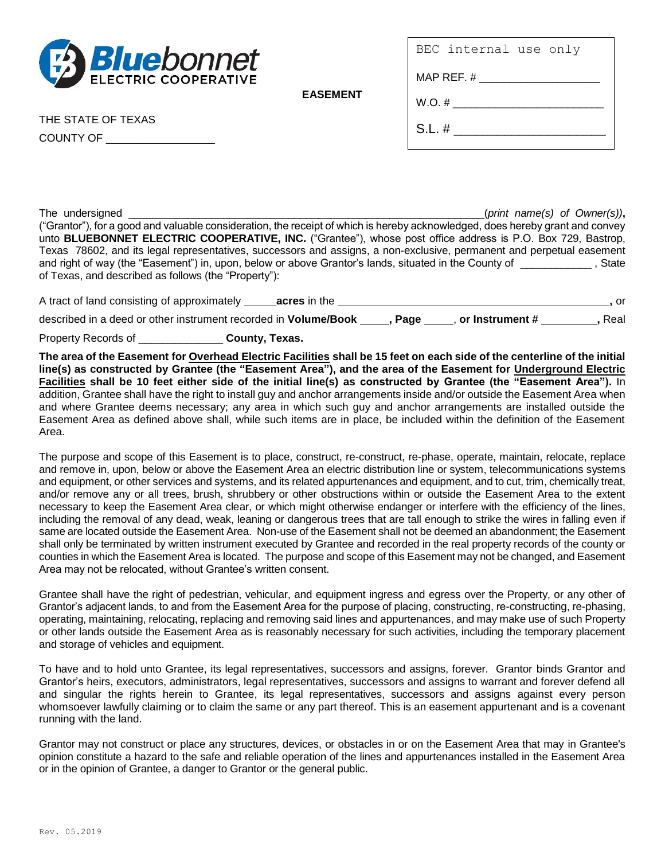

BEC internal use only

 $MAD$   $DFE$   $#$ 

**EASEMENT**

THE STATE OF TEXAS

COUNTY OF \_\_\_\_\_\_\_\_\_\_\_\_\_\_\_\_\_\_

| $\blacksquare$ |  |
|----------------|--|
| W.O. #         |  |
| $S.L.$ #       |  |

The undersigned the undersigned the set of the set of the set of the set of the set of  $S$  *(print name(s)* of *Owner(s))*, ("Grantor"), for a good and valuable consideration, the receipt of which is hereby acknowledged, does hereby grant and convey unto **BLUEBONNET ELECTRIC COOPERATIVE, INC.** ("Grantee"), whose post office address is P.O. Box 729, Bastrop, Texas 78602, and its legal representatives, successors and assigns, a non-exclusive, permanent and perpetual easement and right of way (the "Easement") in, upon, below or above Grantor's lands, situated in the County of state of Texas, and described as follows (the "Property"):

| A tract of land consisting of approximately                     | acres in the |      |                 | . or |
|-----------------------------------------------------------------|--------------|------|-----------------|------|
| described in a deed or other instrument recorded in Volume/Book |              | Page | or Instrument # | Real |

Property Records of \_\_\_\_\_\_\_\_\_\_\_\_\_\_ **County, Texas.**

**The area of the Easement for Overhead Electric Facilities shall be 15 feet on each side of the centerline of the initial line(s) as constructed by Grantee (the "Easement Area"), and the area of the Easement for Underground Electric Facilities shall be 10 feet either side of the initial line(s) as constructed by Grantee (the "Easement Area").** In addition, Grantee shall have the right to install guy and anchor arrangements inside and/or outside the Easement Area when and where Grantee deems necessary; any area in which such guy and anchor arrangements are installed outside the Easement Area as defined above shall, while such items are in place, be included within the definition of the Easement Area.

The purpose and scope of this Easement is to place, construct, re-construct, re-phase, operate, maintain, relocate, replace and remove in, upon, below or above the Easement Area an electric distribution line or system, telecommunications systems and equipment, or other services and systems, and its related appurtenances and equipment, and to cut, trim, chemically treat, and/or remove any or all trees, brush, shrubbery or other obstructions within or outside the Easement Area to the extent necessary to keep the Easement Area clear, or which might otherwise endanger or interfere with the efficiency of the lines, including the removal of any dead, weak, leaning or dangerous trees that are tall enough to strike the wires in falling even if same are located outside the Easement Area. Non-use of the Easement shall not be deemed an abandonment; the Easement shall only be terminated by written instrument executed by Grantee and recorded in the real property records of the county or counties in which the Easement Area is located. The purpose and scope of this Easement may not be changed, and Easement Area may not be relocated, without Grantee's written consent.

Grantee shall have the right of pedestrian, vehicular, and equipment ingress and egress over the Property, or any other of Grantor's adjacent lands, to and from the Easement Area for the purpose of placing, constructing, re-constructing, re-phasing, operating, maintaining, relocating, replacing and removing said lines and appurtenances, and may make use of such Property or other lands outside the Easement Area as is reasonably necessary for such activities, including the temporary placement and storage of vehicles and equipment.

To have and to hold unto Grantee, its legal representatives, successors and assigns, forever. Grantor binds Grantor and Grantor's heirs, executors, administrators, legal representatives, successors and assigns to warrant and forever defend all and singular the rights herein to Grantee, its legal representatives, successors and assigns against every person whomsoever lawfully claiming or to claim the same or any part thereof. This is an easement appurtenant and is a covenant running with the land.

Grantor may not construct or place any structures, devices, or obstacles in or on the Easement Area that may in Grantee's opinion constitute a hazard to the safe and reliable operation of the lines and appurtenances installed in the Easement Area or in the opinion of Grantee, a danger to Grantor or the general public.